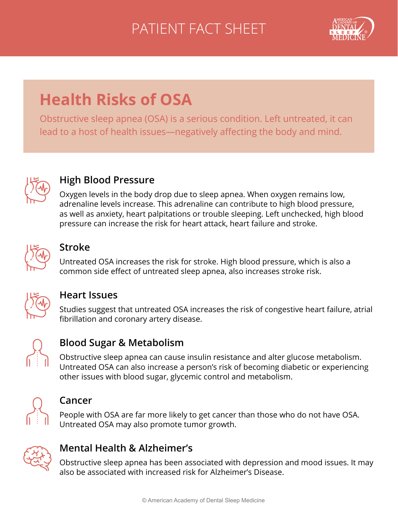# PATIENT FACT SHEET



# **Health Risks of OSA**

Obstructive sleep apnea (OSA) is a serious condition. Left untreated, it can lead to a host of health issues—negatively affecting the body and mind.



## **High Blood Pressure**

Oxygen levels in the body drop due to sleep apnea. When oxygen remains low, adrenaline levels increase. This adrenaline can contribute to high blood pressure, as well as anxiety, heart palpitations or trouble sleeping. Left unchecked, high blood pressure can increase the risk for heart attack, heart failure and stroke.



## **Stroke**

Untreated OSA increases the risk for stroke. High blood pressure, which is also a common side efect of untreated sleep apnea, also increases stroke risk.



### **Heart Issues**

Studies suggest that untreated OSA increases the risk of congestive heart failure, atrial fbrillation and coronary artery disease.



## **Blood Sugar & Metabolism**

Obstructive sleep apnea can cause insulin resistance and alter glucose metabolism. Untreated OSA can also increase a person's risk of becoming diabetic or experiencing other issues with blood sugar, glycemic control and metabolism.



#### **Cancer**

People with OSA are far more likely to get cancer than those who do not have OSA. Untreated OSA may also promote tumor growth.



## **Mental Health & Alzheimer's**

Obstructive sleep apnea has been associated with depression and mood issues. It may also be associated with increased risk for Alzheimer's Disease.